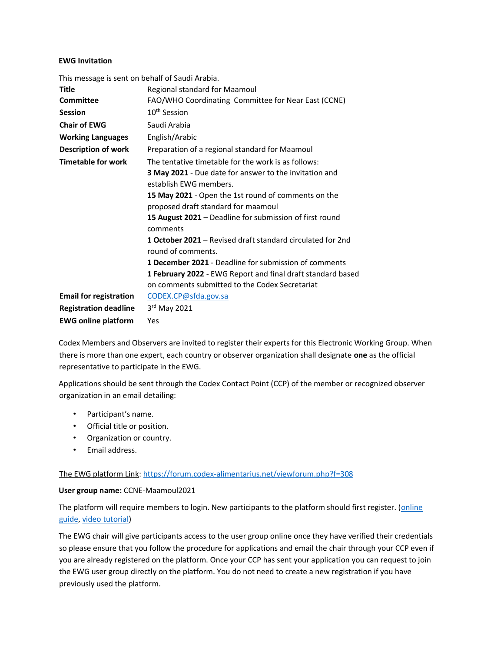### EWG Invitation

| This message is sent on behalf of Saudi Arabia. |                                                                                         |
|-------------------------------------------------|-----------------------------------------------------------------------------------------|
| <b>Title</b>                                    | Regional standard for Maamoul                                                           |
| <b>Committee</b>                                | FAO/WHO Coordinating Committee for Near East (CCNE)                                     |
| <b>Session</b>                                  | 10 <sup>th</sup> Session                                                                |
| <b>Chair of EWG</b>                             | Saudi Arabia                                                                            |
| <b>Working Languages</b>                        | English/Arabic                                                                          |
| Description of work                             | Preparation of a regional standard for Maamoul                                          |
| <b>Timetable for work</b>                       | The tentative timetable for the work is as follows:                                     |
|                                                 | 3 May 2021 - Due date for answer to the invitation and                                  |
|                                                 | establish FWG members.                                                                  |
|                                                 | 15 May 2021 - Open the 1st round of comments on the                                     |
|                                                 | proposed draft standard for maamoul                                                     |
|                                                 | 15 August 2021 - Deadline for submission of first round<br>comments                     |
|                                                 | <b>1 October 2021</b> – Revised draft standard circulated for 2nd<br>round of comments. |
|                                                 | <b>1 December 2021</b> - Deadline for submission of comments                            |
|                                                 | <b>1 February 2022</b> - EWG Report and final draft standard based                      |
|                                                 | on comments submitted to the Codex Secretariat                                          |
| <b>Email for registration</b>                   | CODEX.CP@sfda.gov.sa                                                                    |
| <b>Registration deadline</b>                    | $3rd$ May 2021                                                                          |
| <b>EWG online platform</b>                      | Yes                                                                                     |

Codex Members and Observers are invited to register their experts for this Electronic Working Group. When there is more than one expert, each country or observer organization shall designate one as the official representative to participate in the EWG.

Applications should be sent through the Codex Contact Point (CCP) of the member or recognized observer organization in an email detailing:

- Participant's name.
- Official title or position.
- Organization or country.
- Email address.

#### The EWG platform Link: https://forum.codex-alimentarius.net/viewforum.php?f=308

#### User group name: CCNE-Maamoul2021

The platform will require members to login. New participants to the platform should first register. (online guide, video tutorial)

The EWG chair will give participants access to the user group online once they have verified their credentials so please ensure that you follow the procedure for applications and email the chair through your CCP even if you are already registered on the platform. Once your CCP has sent your application you can request to join the EWG user group directly on the platform. You do not need to create a new registration if you have previously used the platform.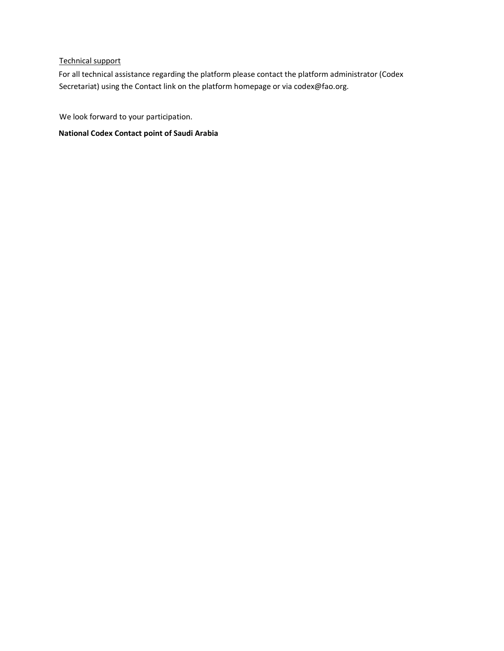## Technical support

For all technical assistance regarding the platform please contact the platform administrator (Codex Secretariat) using the Contact link on the platform homepage or via codex@fao.org.

We look forward to your participation.

National Codex Contact point of Saudi Arabia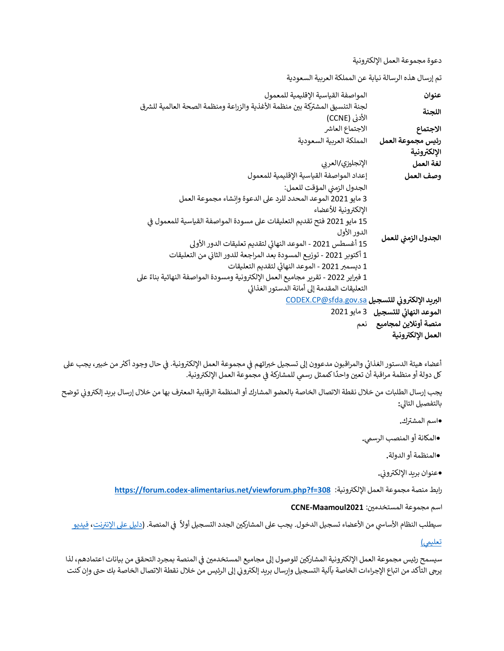دعوة مجموعة العمل الإلكترونية

تم إرسال هذه الرسالة نيابة عن المملكة العربية السعودية

|                                     | المواصفة القياسية الإقليمية للمعمول                                               |
|-------------------------------------|-----------------------------------------------------------------------------------|
| عنوان                               | لجنة التنسيق المشتركة بين منظمة الأغذية والزراعة ومنظمة الصحة العالمية للشرق      |
| اللجنة                              |                                                                                   |
|                                     | الأدنى (CCNE)                                                                     |
| الاجتماع                            | الاجتماع العاشر                                                                   |
| رئيس مجموعة العمل                   | المملكة العربية السعودية                                                          |
| الإلكترونية                         |                                                                                   |
| لغة العمل                           | الإنجليزي/العربى                                                                  |
| وصف العمل                           | إعداد المواصفة القياسية الإقليمية للمعمول                                         |
| الجدول الزمني للعمل                 | الجدول الزمني المؤقت للعمل:                                                       |
|                                     | 3 مايو 2021 الموعد المحدد للرد على الدعوة وانشاء مجموعة العمل                     |
|                                     | الإلكترونية للأعضاء                                                               |
|                                     | 15 مايو 2021 فتح تقديم التعليقات على مسودة المواصفة القياسية للمعمول في           |
|                                     | الدور الأول                                                                       |
|                                     | 15 أغسطس 2021 - الموعد النهائي لتقديم تعليقات الدور الأولى                        |
|                                     | 1 أكتوبر 2021 - توزيـع المسودة بعد المراجعة للدور الثانى من التعليقات             |
|                                     | 1 ديسمبر 2021 - الموعد النهائي لتقديم التعليقات                                   |
|                                     | 1 فبراير 2022 - تقرير مجاميع العمل الإلكترونية ومسودة المواصفة النهائية بناءً على |
|                                     | التعليقات المقدمة إلى أمانة الدستور الغذائي                                       |
|                                     | البريد الإلكتروني للتسجيل CODEX.CP@sfda.gov.sa                                    |
| الموعد النهائي للتسجيل  3 مايو 2021 |                                                                                   |
| منصة أونلاين لمجاميع                | نعم                                                                               |
| العمل الإلكترونية                   |                                                                                   |
|                                     |                                                                                   |

أعضاء هيئة الدستور الغذائي والمراقبون مدعوون إلى تسجيل خبرائهم في مجموعة العمل الإلكترونية. في حال وجود أكثر من خبير، يجب على ᡨر سبب المشاركة التي تصدر العمل العمل العمل المشاركة في مجموعة العمل الإلكترونية.<br>كل دولة أو منظمة مراقبة أن تعين واحدًا كممثل رسمي للمشاركة في مجموعة العمل الإلكترونية.

يجب إرسال الطلبات من خلال نقطة الاتصال الخاصة بالعضو المشارك أو المنظمة الرقابية المعترف بها من خلال إرسال بريد إلكتروني توضح بالتفصيل التالي:

.<br>•اسم المشترك

•المكانة أو المنصب الرسمي.

•المنظمة أو الدولة.

وعنوان بريد الإلكتروني.<br>-

رابط منصة مجموعة العمل الإلكترونية: https://forum.codex-alimentarius.net/viewforum.php?f=308

اسم مجموعة المستخدمين: CCNE-Maamoul2021

سيطلب النظام الأساسي من الأعضاء تسجيل الدخول. يجب على المشاركين الجدد التسجيل أولاً في المنصة. (<u>دليل على الإنترنت</u>، فيديو

<u>تعليمي)</u>

سيسمح رئيس مجموعة العمل الإلكترونية المشاركين للوصول إلى مجاميع المستخدمين في المنصة بمجرد التحقق من بيانات اعتمادهم، لذا ᡧ ي حد من حدث من اتباع الإجراءات الخاصة بآلية التسجيل وإرسال بريد إلكتروني إلى الرئيس من خلال نقطة الاتصال الخاصة بك حتى وإن كنت<br>يرجى التأكد من اتباع الإجراءات الخاصة بآلية التسجيل وإرسال بريد إلكتروني إلى الرئيس من خلال نق